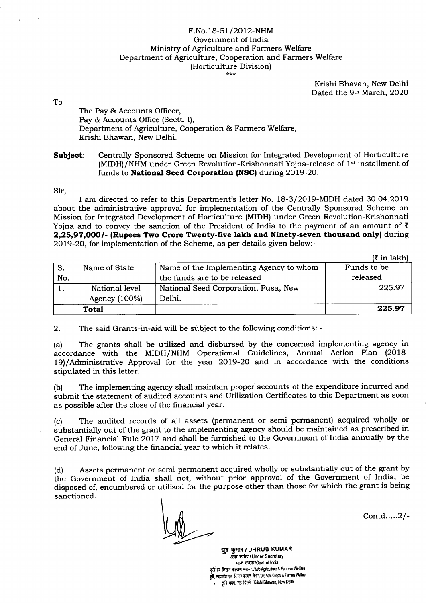## F.No.18-51/2012-NHM Government of India Ministry of Agriculture and Farmers Welfare Department of Agriculture, Cooperation and Farmers Welfare (Horticulture Division)

Krishi Bhavan, New Delhi Dated the 9th March, 2020

To

The Pay & Accounts Officer, Pay & Accounts Office (Sectt. I), Department of Agriculture, Cooperation & Farmers Welfare, Krishi Bhawan, New Delhi.

Subject:- Centrally Sponsored Scheme on Mission for Integrated Development of Horticulture (MIDH)/NHM under Green Revolution-Krishonnati Yojna-release of 1<sup>st</sup> installment of funds to National Seed Corporation (NSC) during 2019-20.

Sir,

I am directed to refer to this Department's letter No. 18-3/2019-MIDH dated 3O.O4.2O19 about the administrative approval for implementation of the Centrally Sponsored Scheme on Mission for Integrated Development of Horticulture (MIDH) under Green Revolution-Krishonnati Yojna and to convey the sanction of the President of India to the payment of an amount of  $\bar{\tau}$ 2,25,97,000/- (Rupees Two Crore Twenty-five lakh and Ninety-seven thousand only) during 2Ol9-2O, for implementation of the Scheme, as per details given below:-

|     |                |                                         | $(3 \in \mathbb{R}^2)$ |
|-----|----------------|-----------------------------------------|------------------------|
| S.  | Name of State  | Name of the Implementing Agency to whom | Funds to be            |
| No. |                | the funds are to be released            | released               |
|     | National level | National Seed Corporation, Pusa, New    | 225.97                 |
|     | Agency (100%)  | Delhi.                                  |                        |
|     | <b>Total</b>   |                                         | 225.97                 |

2. The said Grants-in-aid will be subject to the following conditions: -

(a) The grants shall be utilized and disbursed by the concerned implementing agency in accordance with the MIDH/NHM Operational Guidelines, Annual Action Plan (2018 l9)/Administrative Approval for the year 2Ol9-2O and in accordance with the conditions stipulated in this letter.

(b) The implementing agency shall maintain proper accounts of the expenditure incurred and submit the statement of audited accounts and Utilization Certificates to this Department as soon as possible after the close of the financial year.

(c) The audited records of all assets (permanent or semi perrnanent) acquired wholly or substantially out of the grant to the implementing agency should be maintained as prescribed in General Financial Rule 2017 and shall be furnished to the Government of India annually by the end of June, following the financial year to which it relates.

(d) Assets permanent or semi-permanent acquired wholly or substantially out of the grant by the Government of India shall not, without prior approval of the Government of India, be disposed of, encumbered or utilized for the purpose other than those for which the grant is being sanctioned

Contd.....2/-

धूव कुमार / DHRUB KUMAR अक्स सचिद / Under Secretary भारत सरदार/Govt. of India कृषि एवं किसान कल्याण मंत्रातय / M/o Agricuiture & Farmers Welfare कृषि, सहकारिता एवं किसान कल्याण विभाग/D/o Agri. Coopn. & Farmers Wellare कृषि मदन, नई दिल्ली /Krishi Bhawan, New Delhi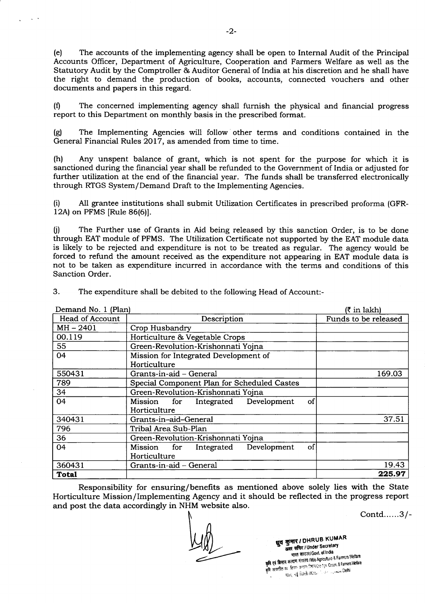(e) The accounts of the implementing agency shall be open to Internal Audit of the Principal Accounts Officer, Department of Agriculture, Cooperation and Farmers Welfare as well as the Statutory Audit by the Comptroller & Auditor General of India at his discretion and he shall have the right to demand the production of books, accounts, connected vouchers and other documents and papers in this regard.

(0 The concerned implementing agency shall furnish the physical and financial progress report to this Department on monthly basis in the prescribed format.

(S) The Implementing Agencies will follow other terms and conditions contained in the General Financial Rules 2017, as amended from time to time.

(h) Any unspent balance of grant, which is not spent for the purpose for which it is sanctioned during the financial year shall be refunded to the Government of India or adjusted for further utilization at the end of the financial year. The funds shall be transferred electronically through RTGS System/Demand Draft to the Implementing Agencies.

(i) A11 grantee institutions shall submit Utilization Certificates in prescribed proforma (GFR-12A) on PFMS [Rule 86(6)].

(j) The Further use of Grants in Aid being released by this sanction Order, is to be done through EAT module of PFMS. The Utilization Certificate not supported by the EAT module data is likely to be rejected and expenditure is not to be treated as regular. The agency would be forced to refund the amount received as the expenditure not appearing in EAT module data is not to be taken as expenditure incurred in accordance with the terms and conditions of this Sanction Order.

| Demand No. 1 (Plan) | (₹ in lakh)                                    |                      |
|---------------------|------------------------------------------------|----------------------|
| Head of Account     | Description                                    | Funds to be released |
| $MH - 2401$         | Crop Husbandry                                 |                      |
| 00.119              | Horticulture & Vegetable Crops                 |                      |
| 55                  | Green-Revolution-Krishonnati Yojna             |                      |
| 04                  | Mission for Integrated Development of          |                      |
|                     | Horticulture                                   |                      |
| 550431              | Grants-in-aid - General                        | 169.03               |
| 789                 | Special Component Plan for Scheduled Castes    |                      |
| 34                  | Green-Revolution-Krishonnati Yojna             |                      |
| 04                  | of<br>Mission<br>Integrated Development<br>for |                      |
|                     | Horticulture                                   |                      |
| 340431              | Grants-in-aid-General                          | 37.51                |
| 796                 | Tribal Area Sub-Plan                           |                      |
| 36                  | Green-Revolution-Krishonnati Yojna             |                      |
| 04                  | of<br>Development<br>Mission for Integrated    |                      |
|                     | Horticulture                                   |                      |
| 360431              | Grants-in-aid – General                        | 19.43                |
| <b>Total</b>        |                                                | 225.97               |

3. The expenditure shall be debited to the following Head of Account:-

Responsibility for ensuring/benefits as mentioned above solely lies with the State Horticulture Mission/Implementing Agency and it should be reflected in the progress report and post the data accordingly in NHM website also.

Contd......3l-

ध्रुव कुमार / DHRUB KUMAR<br>अवर सचिद / Under Secretary<br>भारत सरदार/Govt. of India and a complete the second of the Farmers Welfare<br>कृषि एवं किसान कल्याण मंत्रातय (Mio Agriculture & Farmers Welfare कृषि एवं किसान कन्याण मंत्रातय IMIo Agriculture & Farmors venare<br>कृषि सहकारिता एवं किसान कन्यान निर्मात Die Agri Coopi, & Farmers Wellard<br>कृषि सहकारिता एवं किसान कार्याल Material Agriculture Delhi Hart, de lacelli /Kasa in de concert Delhi